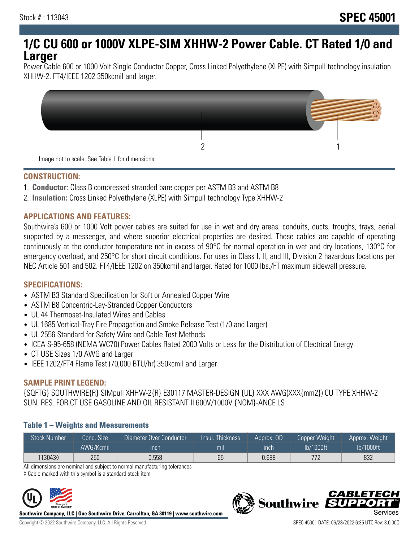# **1/C CU 600 or 1000V XLPE-SIM XHHW-2 Power Cable. CT Rated 1/0 and Larger**

Power Cable 600 or 1000 Volt Single Conductor Copper, Cross Linked Polyethylene (XLPE) with Simpull technology insulation XHHW-2. FT4/IEEE 1202 350kcmil and larger.



#### **CONSTRUCTION:**

- 1. **Conductor:** Class B compressed stranded bare copper per ASTM B3 and ASTM B8
- 2. **Insulation:** Cross Linked Polyethylene (XLPE) with Simpull technology Type XHHW-2

## **APPLICATIONS AND FEATURES:**

Southwire's 600 or 1000 Volt power cables are suited for use in wet and dry areas, conduits, ducts, troughs, trays, aerial supported by a messenger, and where superior electrical properties are desired. These cables are capable of operating continuously at the conductor temperature not in excess of 90°C for normal operation in wet and dry locations, 130°C for emergency overload, and 250°C for short circuit conditions. For uses in Class I, II, and III, Division 2 hazardous locations per NEC Article 501 and 502. FT4/IEEE 1202 on 350kcmil and larger. Rated for 1000 lbs./FT maximum sidewall pressure.

## **SPECIFICATIONS:**

- ASTM B3 Standard Specification for Soft or Annealed Copper Wire
- ASTM B8 Concentric-Lay-Stranded Copper Conductors
- UL 44 Thermoset-Insulated Wires and Cables
- UL 1685 Vertical-Tray Fire Propagation and Smoke Release Test (1/0 and Larger)
- UL 2556 Standard for Safety Wire and Cable Test Methods
- ICEA S-95-658 (NEMA WC70) Power Cables Rated 2000 Volts or Less for the Distribution of Electrical Energy
- CT USE Sizes 1/0 AWG and Larger
- IEEE 1202/FT4 Flame Test (70,000 BTU/hr) 350kcmil and Larger

## **SAMPLE PRINT LEGEND:**

{SQFTG} SOUTHWIRE{R} SIMpull XHHW-2{R} E30117 MASTER-DESIGN {UL} XXX AWG(XXX{mm2}) CU TYPE XHHW-2 SUN. RES. FOR CT USE GASOLINE AND OIL RESISTANT II 600V/1000V {NOM}-ANCE LS

## **Table 1 – Weights and Measurements**

| <b>Stock Number</b> | Cond. Size | Diameter Over Conductor | Insul. Thickness | Approx. OD  | <b>Copper Weight</b> | Approx. Weight |
|---------------------|------------|-------------------------|------------------|-------------|----------------------|----------------|
|                     | AWG/Kcmil  | ınch                    | mıl              | <b>Inch</b> | lb/1000ft            | lb/1000ft      |
| 1130430             | 250        | 0.558                   | 65               | 0.688       | 779                  | 832            |

All dimensions are nominal and subject to normal manufacturing tolerances

◊ Cable marked with this symbol is a standard stock item



**Southwire Company, LLC | One Southwire Drive, Carrollton, GA 30119 | www.southwire.com**

**Southwire** 

*CABLETE*